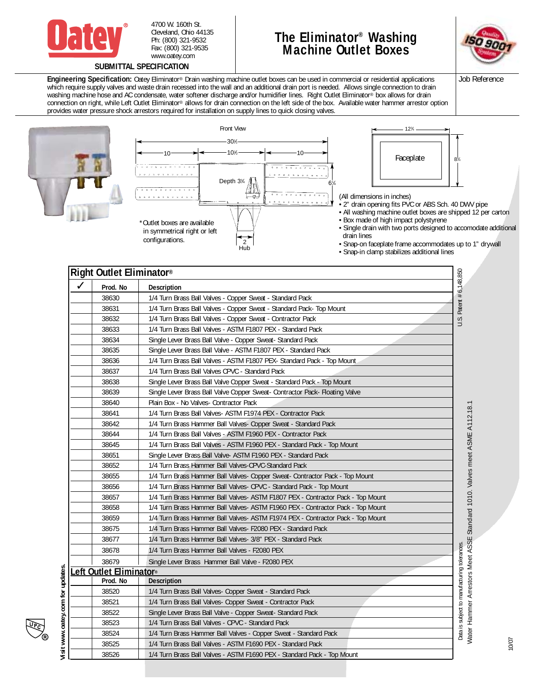

4700 W. 160th St. Cleveland, Ohio 44135 Ph: (800) 321-9532 Fax: (800) 321-9535 www.oatey.com

## **The Eliminator® Washing Machine Outlet Boxes**



**Engineering Specification:** Oatey Eliminator® Drain washing machine outlet boxes can be used in commercial or residential applications which require supply valves and waste drain recessed into the wall and an additional drain port is needed. Allows single connection to drain washing machine hose and AC condensate, water softener discharge and/or humidifier lines. Right Outlet Eliminator® box allows for drain connection on right, while Left Outlet Eliminator® allows for drain connection on the left side of the box. Available water hammer arrestor option provides water pressure shock arrestors required for installation on supply lines to quick closing valves.





| Prod. No               | Description                                                                     |
|------------------------|---------------------------------------------------------------------------------|
| 38630                  | 1/4 Turn Brass Ball Valves - Copper Sweat - Standard Pack                       |
| 38631                  | 1/4 Turn Brass Ball Valves - Copper Sweat - Standard Pack- Top Mount            |
| 38632                  | 1/4 Turn Brass Ball Valves - Copper Sweat - Contractor Pack                     |
| 38633                  | 1/4 Turn Brass Ball Valves - ASTM F1807 PEX - Standard Pack                     |
| 38634                  | Single Lever Brass Ball Valve - Copper Sweat- Standard Pack                     |
| 38635                  | Single Lever Brass Ball Valve - ASTM F1807 PEX - Standard Pack                  |
| 38636                  | 1/4 Turn Brass Ball Valves - ASTM F1807 PEX- Standard Pack - Top Mount          |
| 38637                  | 1/4 Turn Brass Ball Valves CPVC - Standard Pack                                 |
| 38638                  | Single Lever Brass Ball Valve Copper Sweat - Standard Pack - Top Mount          |
| 38639                  | Single Lever Brass Ball Valve Copper Sweat- Contractor Pack- Floating Valve     |
| 38640                  | Plain Box - No Valves- Contractor Pack                                          |
| 38641                  | 1/4 Turn Brass Ball Valves- ASTM F1974 PEX - Contractor Pack                    |
| 38642                  | 1/4 Turn Brass Hammer Ball Valves- Copper Sweat - Standard Pack                 |
| 38644                  | 1/4 Turn Brass Ball Valves - ASTM F1960 PEX - Contractor Pack                   |
| 38645                  | 1/4 Turn Brass Ball Valves - ASTM F1960 PEX - Standard Pack - Top Mount         |
| 38651                  | Single Lever Brass Ball Valve- ASTM F1960 PEX - Standard Pack                   |
| 38652                  | 1/4 Turn Brass Hammer Ball Valves-CPVC-Standard Pack                            |
| 38655                  | 1/4 Turn Brass Hammer Ball Valves- Copper Sweat- Contractor Pack - Top Mount    |
| 38656                  | 1/4 Turn Brass Hammer Ball Valves- CPVC - Standard Pack - Top Mount             |
| 38657                  | 1/4 Turn Brass Hammer Ball Valves- ASTM F1807 PEX - Contractor Pack - Top Mount |
| 38658                  | 1/4 Turn Brass Hammer Ball Valves- ASTM F1960 PEX - Contractor Pack - Top Mount |
| 38659                  | 1/4 Turn Brass Hammer Ball Valves- ASTM F1974 PEX - Contractor Pack - Top Mount |
| 38675                  | 1/4 Turn Brass Hammer Ball Valves- F2080 PEX - Standard Pack                    |
| 38677                  | 1/4 Turn Brass Hammer Ball Valves- 3/8" PEX - Standard Pack                     |
| 38678                  | 1/4 Turn Brass Hammer Ball Valves - F2080 PEX                                   |
| 38679                  | Single Lever Brass Hammer Ball Valve - F2080 PEX                                |
| eft Outlet Eliminator® |                                                                                 |
| Prod. No               | Description                                                                     |
| 38520                  | 1/4 Turn Brass Ball Valves- Copper Sweat - Standard Pack                        |
| 38521                  | 1/4 Turn Brass Ball Valves- Copper Sweat - Contractor Pack                      |
| 38522                  | Single Lever Brass Ball Valve - Copper Sweat- Standard Pack                     |
| 38523                  | 1/4 Turn Brass Ball Valves - CPVC - Standard Pack                               |
| 38524                  | 1/4 Turn Brass Hammer Ball Valves - Copper Sweat - Standard Pack                |
| 38525                  | 1/4 Turn Brass Ball Valves - ASTM F1690 PEX - Standard Pack                     |
| 38526                  | 1/4 Turn Brass Ball Valves - ASTM F1690 PEX - Standard Pack - Top Mount         |

Job Reference